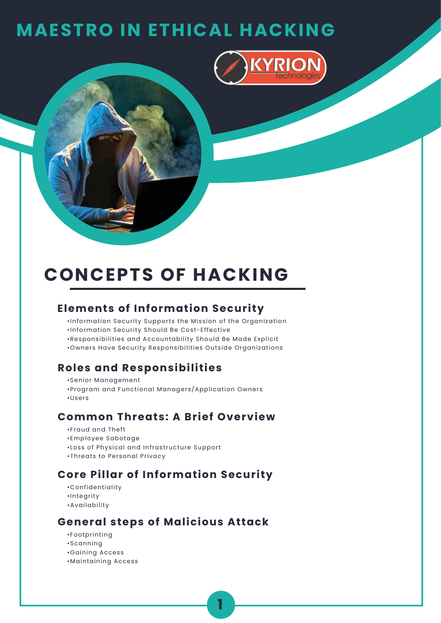

# **CONCEPTS OF HACKING**

### **Elements of Information Security**

- •Information Security Supports the Mission of the Organization
- •Information Security Should Be Cost-Effective
- •Responsibilities and Accountability Should Be Made Explicit
- •Owners Have Security Responsibilities Outside Organizations

#### **Roles and Responsibilities**

- •Senior Management
- •Program and Functional Managers/Application Owners
- •Users

### **Common Threats: A Brief Overview**

- •Fraud and Theft
- •Employee Sabotage
- •Loss of Physical and Infrastructure Support
- •Threats to Personal Privacy

## **Core Pillar of Information Security**

- •Confidentiality
- •Integrity
- •Availability

### **General steps of Malicious Attack**

- •Footprinting
- •Scanning
- •Gaining Access
- •Maintaining Access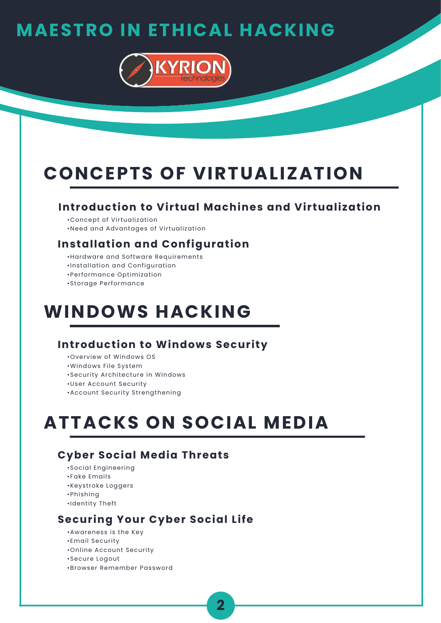

# **CONCEPTS OF VIRTUALIZATION**

#### **Introduction to Virtual Machines and Virtualization**

- •Concept of Virtualization
- •Need and Advantages of Virtualization

### **Installation and Configuration**

- •Hardware and Software Requirements
- •Installation and Configuration
- •Performance Optimization
- •Storage Performance

# **WINDOWS HACKING**

### **Introduction to Windows Security**

- •Overview of Windows OS
- •Windows File System
- •Security Architecture in Windows
- •User Account Security
- •Account Security Strengthening

# **ATTACKS ON SOCIAL MEDIA**

## **Cyber Social Media Threats**

- •Social Engineering
- •Fake Emails
- •Keystroke Loggers
- •Phishing
- •Identity Theft

## **Securing Your Cyber Social Life**

- •Awareness is the Key
- •Email Security
- •Online Account Security
- •Secure Logout
- •Browser Remember Password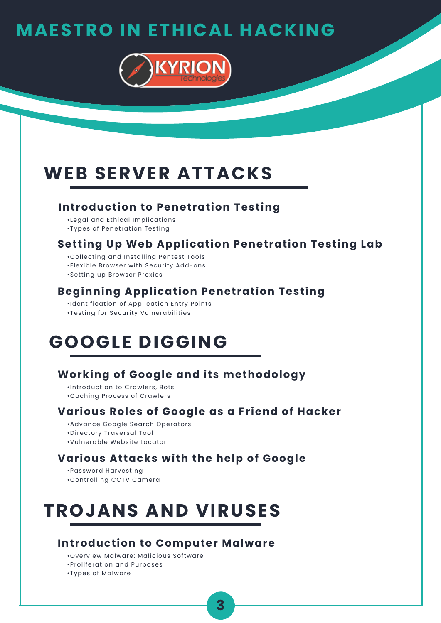

# **WEB SERVER ATTACKS**

#### **Introduction to Penetration Testing**

- •Legal and Ethical Implications
- •Types of Penetration Testing

## **Setting Up Web Application Penetration Testing Lab**

- •Collecting and Installing Pentest Tools
- •Flexible Browser with Security Add-ons
- •Setting up Browser Proxies

## **Beginning Application Penetration Testing**

- •Identification of Application Entry Points
- •Testing for Security Vulnerabilities

## **GOOGLE DIGGING**

## **Working of Google and its methodology**

- •Introduction to Crawlers, Bots
- •Caching Process of Crawlers

## **Various Roles of Google as a Friend of Hacker**

- •Advance Google Search Operators
- •Directory Traversal Tool
- •Vulnerable Website Locator

### **Various Attacks with the help of Google**

- •Password Harvesting
- •Controlling CCTV Camera

# **TROJANS AND VIRUSES**

### **Introduction to Computer Malware**

- •Overview Malware: Malicious Software
- •Proliferation and Purposes
- •Types of Malware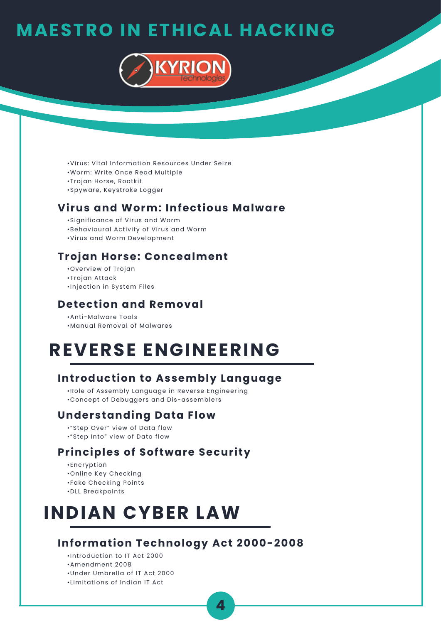

- •Virus: Vital Information Resources Under Seize
- •Worm: Write Once Read Multiple
- •Trojan Horse, Rootkit
- •Spyware, Keystroke Logger

### **Virus and Worm: Infectious Malware**

- •Significance of Virus and Worm
- •Behavioural Activity of Virus and Worm
- •Virus and Worm Development

#### **Trojan Horse: Concealment**

- •Overview of Trojan
- •Trojan Attack
- •Injection in System Files

#### **Detection and Removal**

- •Anti-Malware Tools
- •Manual Removal of Malwares

## **REVERSE ENGINEERING**

#### **Introduction to Assembly Language**

- •Role of Assembly Language in Reverse Engineering
- •Concept of Debuggers and Dis-assemblers

#### **Understanding Data Flow**

- •"Step Over" view of Data flow
- •"Step Into" view of Data flow

#### **Principles of Software Security**

- •Encryption
- •Online Key Checking
- •Fake Checking Points
- •DLL Breakpoints

## **INDIAN CYBER LAW**

#### **Information Technology Act 2000-2008**

- •Introduction to IT Act 2000
- •Amendment 2008
- •Under Umbrella of IT Act 2000
- •Limitations of Indian IT Act